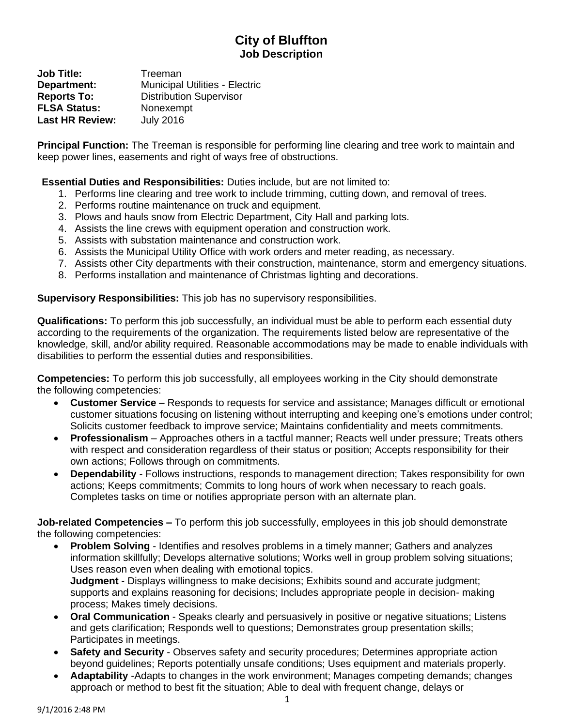## **City of Bluffton Job Description**

**Job Title:** Treeman **Department:** Municipal Utilities - Electric **Reports To:** Distribution Supervisor **FLSA Status:** Nonexempt **Last HR Review:** July 2016

**Principal Function:** The Treeman is responsible for performing line clearing and tree work to maintain and keep power lines, easements and right of ways free of obstructions.

**Essential Duties and Responsibilities:** Duties include, but are not limited to:

- 1. Performs line clearing and tree work to include trimming, cutting down, and removal of trees.
- 2. Performs routine maintenance on truck and equipment.
- 3. Plows and hauls snow from Electric Department, City Hall and parking lots.
- 4. Assists the line crews with equipment operation and construction work.
- 5. Assists with substation maintenance and construction work.
- 6. Assists the Municipal Utility Office with work orders and meter reading, as necessary.
- 7. Assists other City departments with their construction, maintenance, storm and emergency situations.
- 8. Performs installation and maintenance of Christmas lighting and decorations.

**Supervisory Responsibilities:** This job has no supervisory responsibilities.

**Qualifications:** To perform this job successfully, an individual must be able to perform each essential duty according to the requirements of the organization. The requirements listed below are representative of the knowledge, skill, and/or ability required. Reasonable accommodations may be made to enable individuals with disabilities to perform the essential duties and responsibilities.

**Competencies:** To perform this job successfully, all employees working in the City should demonstrate the following competencies:

- **Customer Service**  Responds to requests for service and assistance; Manages difficult or emotional customer situations focusing on listening without interrupting and keeping one's emotions under control; Solicits customer feedback to improve service; Maintains confidentiality and meets commitments.
- **Professionalism**  Approaches others in a tactful manner; Reacts well under pressure; Treats others with respect and consideration regardless of their status or position; Accepts responsibility for their own actions; Follows through on commitments.
- **Dependability**  Follows instructions, responds to management direction; Takes responsibility for own actions; Keeps commitments; Commits to long hours of work when necessary to reach goals. Completes tasks on time or notifies appropriate person with an alternate plan.

**Job-related Competencies –** To perform this job successfully, employees in this job should demonstrate the following competencies:

- **Problem Solving**  Identifies and resolves problems in a timely manner; Gathers and analyzes information skillfully; Develops alternative solutions; Works well in group problem solving situations; Uses reason even when dealing with emotional topics. **Judgment** - Displays willingness to make decisions; Exhibits sound and accurate judgment; supports and explains reasoning for decisions; Includes appropriate people in decision- making process; Makes timely decisions.
- **Oral Communication**  Speaks clearly and persuasively in positive or negative situations; Listens and gets clarification; Responds well to questions; Demonstrates group presentation skills; Participates in meetings.
- **Safety and Security**  Observes safety and security procedures; Determines appropriate action beyond guidelines; Reports potentially unsafe conditions; Uses equipment and materials properly.
- **Adaptability** -Adapts to changes in the work environment; Manages competing demands; changes approach or method to best fit the situation; Able to deal with frequent change, delays or